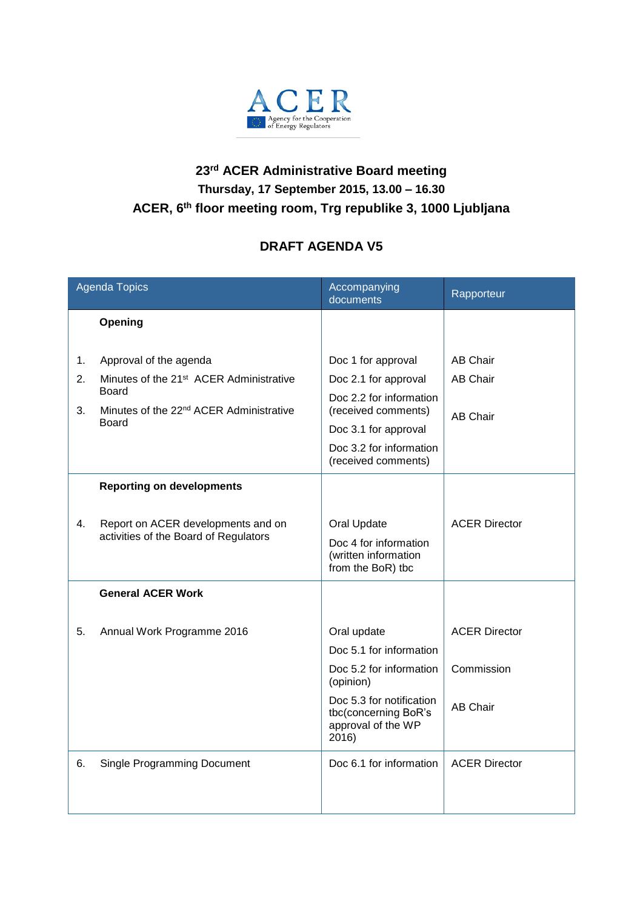

## **23 rd ACER Administrative Board meeting Thursday, 17 September 2015, 13.00 – 16.30 ACER, 6 th floor meeting room, Trg republike 3, 1000 Ljubljana**

## **DRAFT AGENDA V5**

| <b>Agenda Topics</b> |                                                                                                                                                        | Accompanying<br>documents                                                                                                                                              | Rapporteur                                            |
|----------------------|--------------------------------------------------------------------------------------------------------------------------------------------------------|------------------------------------------------------------------------------------------------------------------------------------------------------------------------|-------------------------------------------------------|
|                      | Opening                                                                                                                                                |                                                                                                                                                                        |                                                       |
| 1.<br>2.<br>3.       | Approval of the agenda<br>Minutes of the 21 <sup>st</sup> ACER Administrative<br>Board<br>Minutes of the 22 <sup>nd</sup> ACER Administrative<br>Board | Doc 1 for approval<br>Doc 2.1 for approval<br>Doc 2.2 for information<br>(received comments)<br>Doc 3.1 for approval<br>Doc 3.2 for information<br>(received comments) | <b>AB Chair</b><br><b>AB Chair</b><br><b>AB Chair</b> |
|                      | <b>Reporting on developments</b>                                                                                                                       |                                                                                                                                                                        |                                                       |
| 4.                   | Report on ACER developments and on<br>activities of the Board of Regulators                                                                            | Oral Update<br>Doc 4 for information<br>(written information<br>from the BoR) tbc                                                                                      | <b>ACER Director</b>                                  |
|                      | <b>General ACER Work</b>                                                                                                                               |                                                                                                                                                                        |                                                       |
| 5.                   | Annual Work Programme 2016                                                                                                                             | Oral update<br>Doc 5.1 for information<br>Doc 5.2 for information<br>(opinion)<br>Doc 5.3 for notification<br>tbc(concerning BoR's                                     | <b>ACER Director</b><br>Commission<br><b>AB Chair</b> |
|                      |                                                                                                                                                        | approval of the WP<br>2016)                                                                                                                                            |                                                       |
| 6.                   | <b>Single Programming Document</b>                                                                                                                     | Doc 6.1 for information                                                                                                                                                | <b>ACER Director</b>                                  |